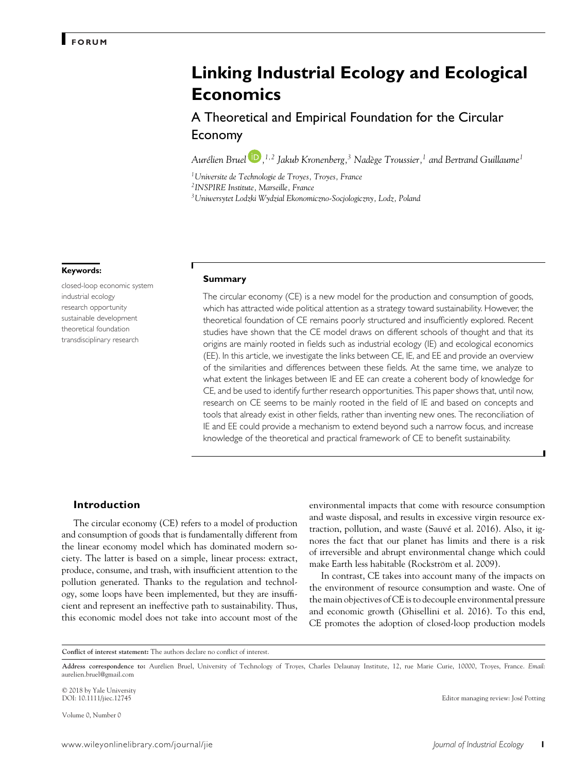# **Linking Industrial Ecology and Ecological Economics**

# A Theoretical and Empirical Foundation for the Circular Economy

*Aurelien Bruel ´ [,](http://orcid.org/0000-0002-5275-9612) 1,2 Jakub Kronenberg,<sup>3</sup> Nadege Troussier, ` <sup>1</sup> and Bertrand Guillaume<sup>1</sup>*

*1Universite de Technologie de Troyes, Troyes, France*

*2INSPIRE Institute, Marseille, France*

*3Uniwersytet Lodzki Wydzial Ekonomiczno-Socjologiczny, Lodz, Poland*

#### **Keywords:**

closed-loop economic system industrial ecology research opportunity sustainable development theoretical foundation transdisciplinary research

#### **Summary**

The circular economy (CE) is a new model for the production and consumption of goods, which has attracted wide political attention as a strategy toward sustainability. However, the theoretical foundation of CE remains poorly structured and insufficiently explored. Recent studies have shown that the CE model draws on different schools of thought and that its origins are mainly rooted in fields such as industrial ecology (IE) and ecological economics (EE). In this article, we investigate the links between CE, IE, and EE and provide an overview of the similarities and differences between these fields. At the same time, we analyze to what extent the linkages between IE and EE can create a coherent body of knowledge for CE, and be used to identify further research opportunities. This paper shows that, until now, research on CE seems to be mainly rooted in the field of IE and based on concepts and tools that already exist in other fields, rather than inventing new ones. The reconciliation of IE and EE could provide a mechanism to extend beyond such a narrow focus, and increase knowledge of the theoretical and practical framework of CE to benefit sustainability.

#### **Introduction**

The circular economy (CE) refers to a model of production and consumption of goods that is fundamentally different from the linear economy model which has dominated modern society. The latter is based on a simple, linear process: extract, produce, consume, and trash, with insufficient attention to the pollution generated. Thanks to the regulation and technology, some loops have been implemented, but they are insufficient and represent an ineffective path to sustainability. Thus, this economic model does not take into account most of the environmental impacts that come with resource consumption and waste disposal, and results in excessive virgin resource extraction, pollution, and waste (Sauvé et al. 2016). Also, it ignores the fact that our planet has limits and there is a risk of irreversible and abrupt environmental change which could make Earth less habitable (Rockström et al. 2009).

In contrast, CE takes into account many of the impacts on the environment of resource consumption and waste. One of the main objectives of CE is to decouple environmental pressure and economic growth (Ghisellini et al. 2016). To this end, CE promotes the adoption of closed-loop production models

**Conflict of interest statement:** The authors declare no conflict of interest.

Address correspondence to: Aurélien Bruel, University of Technology of Troyes, Charles Delaunay Institute, 12, rue Marie Curie, 10000, Troyes, France. *Email*: aurelien.bruel@gmail.com

© 2018 by Yale University

Volume 0, Number 0

Editor managing review: José Potting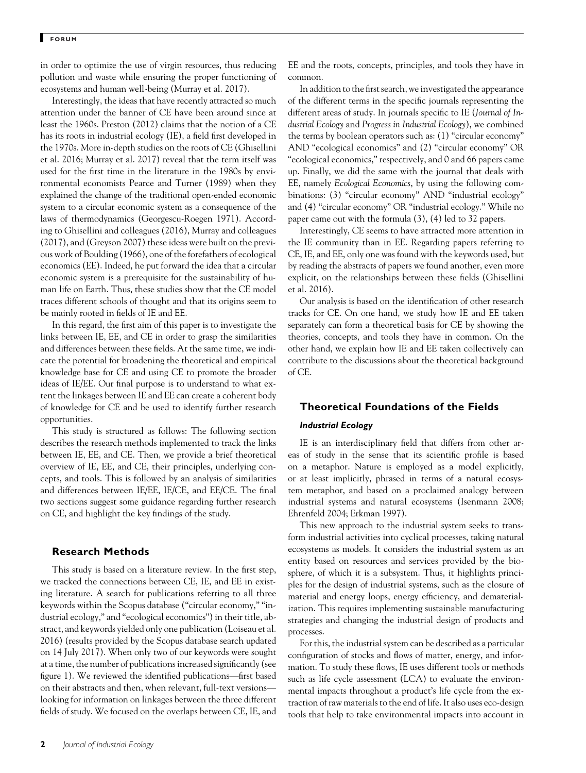in order to optimize the use of virgin resources, thus reducing pollution and waste while ensuring the proper functioning of ecosystems and human well-being (Murray et al. 2017).

Interestingly, the ideas that have recently attracted so much attention under the banner of CE have been around since at least the 1960s. Preston (2012) claims that the notion of a CE has its roots in industrial ecology (IE), a field first developed in the 1970s. More in-depth studies on the roots of CE (Ghisellini et al. 2016; Murray et al. 2017) reveal that the term itself was used for the first time in the literature in the 1980s by environmental economists Pearce and Turner (1989) when they explained the change of the traditional open-ended economic system to a circular economic system as a consequence of the laws of thermodynamics (Georgescu-Roegen 1971). According to Ghisellini and colleagues (2016), Murray and colleagues (2017), and (Greyson 2007) these ideas were built on the previous work of Boulding (1966), one of the forefathers of ecological economics (EE). Indeed, he put forward the idea that a circular economic system is a prerequisite for the sustainability of human life on Earth. Thus, these studies show that the CE model traces different schools of thought and that its origins seem to be mainly rooted in fields of IE and EE.

In this regard, the first aim of this paper is to investigate the links between IE, EE, and CE in order to grasp the similarities and differences between these fields. At the same time, we indicate the potential for broadening the theoretical and empirical knowledge base for CE and using CE to promote the broader ideas of IE/EE. Our final purpose is to understand to what extent the linkages between IE and EE can create a coherent body of knowledge for CE and be used to identify further research opportunities.

This study is structured as follows: The following section describes the research methods implemented to track the links between IE, EE, and CE. Then, we provide a brief theoretical overview of IE, EE, and CE, their principles, underlying concepts, and tools. This is followed by an analysis of similarities and differences between IE/EE, IE/CE, and EE/CE. The final two sections suggest some guidance regarding further research on CE, and highlight the key findings of the study.

#### **Research Methods**

This study is based on a literature review. In the first step, we tracked the connections between CE, IE, and EE in existing literature. A search for publications referring to all three keywords within the Scopus database ("circular economy," "industrial ecology," and "ecological economics") in their title, abstract, and keywords yielded only one publication (Loiseau et al. 2016) (results provided by the Scopus database search updated on 14 July 2017). When only two of our keywords were sought at a time, the number of publications increased significantly (see figure 1). We reviewed the identified publications—first based on their abstracts and then, when relevant, full-text versions looking for information on linkages between the three different fields of study. We focused on the overlaps between CE, IE, and EE and the roots, concepts, principles, and tools they have in common.

In addition to the first search, we investigated the appearance of the different terms in the specific journals representing the different areas of study. In journals specific to IE (*Journal of Industrial Ecology* and *Progress in Industrial Ecology*), we combined the terms by boolean operators such as: (1) "circular economy" AND "ecological economics" and (2) "circular economy" OR "ecological economics," respectively, and 0 and 66 papers came up. Finally, we did the same with the journal that deals with EE, namely *Ecological Economics*, by using the following combinations: (3) "circular economy" AND "industrial ecology" and (4) "circular economy" OR "industrial ecology." While no paper came out with the formula (3), (4) led to 32 papers.

Interestingly, CE seems to have attracted more attention in the IE community than in EE. Regarding papers referring to CE, IE, and EE, only one was found with the keywords used, but by reading the abstracts of papers we found another, even more explicit, on the relationships between these fields (Ghisellini et al. 2016).

Our analysis is based on the identification of other research tracks for CE. On one hand, we study how IE and EE taken separately can form a theoretical basis for CE by showing the theories, concepts, and tools they have in common. On the other hand, we explain how IE and EE taken collectively can contribute to the discussions about the theoretical background of CE.

### **Theoretical Foundations of the Fields**

#### *Industrial Ecology*

IE is an interdisciplinary field that differs from other areas of study in the sense that its scientific profile is based on a metaphor. Nature is employed as a model explicitly, or at least implicitly, phrased in terms of a natural ecosystem metaphor, and based on a proclaimed analogy between industrial systems and natural ecosystems (Isenmann 2008; Ehrenfeld 2004; Erkman 1997).

This new approach to the industrial system seeks to transform industrial activities into cyclical processes, taking natural ecosystems as models. It considers the industrial system as an entity based on resources and services provided by the biosphere, of which it is a subsystem. Thus, it highlights principles for the design of industrial systems, such as the closure of material and energy loops, energy efficiency, and dematerialization. This requires implementing sustainable manufacturing strategies and changing the industrial design of products and processes.

For this, the industrial system can be described as a particular configuration of stocks and flows of matter, energy, and information. To study these flows, IE uses different tools or methods such as life cycle assessment (LCA) to evaluate the environmental impacts throughout a product's life cycle from the extraction of raw materials to the end of life. It also uses eco-design tools that help to take environmental impacts into account in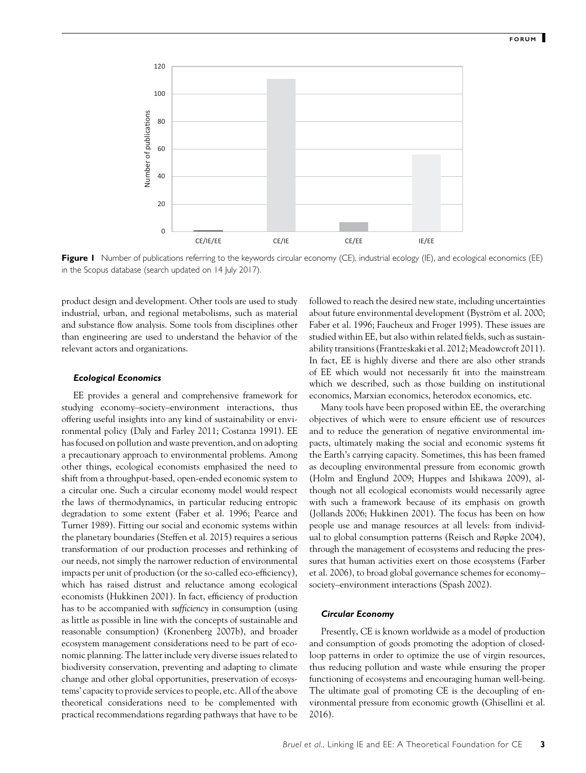

Figure I Number of publications referring to the keywords circular economy (CE), industrial ecology (IE), and ecological economics (EE) in the Scopus database (search updated on 14 July 2017).

product design and development. Other tools are used to study industrial, urban, and regional metabolisms, such as material and substance flow analysis. Some tools from disciplines other than engineering are used to understand the behavior of the relevant actors and organizations.

#### *Ecological Economics*

EE provides a general and comprehensive framework for studying economy–society–environment interactions, thus offering useful insights into any kind of sustainability or environmental policy (Daly and Farley 2011; Costanza 1991). EE has focused on pollution and waste prevention, and on adopting a precautionary approach to environmental problems. Among other things, ecological economists emphasized the need to shift from a throughput-based, open-ended economic system to a circular one. Such a circular economy model would respect the laws of thermodynamics, in particular reducing entropic degradation to some extent (Faber et al. 1996; Pearce and Turner 1989). Fitting our social and economic systems within the planetary boundaries (Steffen et al. 2015) requires a serious transformation of our production processes and rethinking of our needs, not simply the narrower reduction of environmental impacts per unit of production (or the so-called eco-efficiency), which has raised distrust and reluctance among ecological economists (Hukkinen 2001). In fact, efficiency of production has to be accompanied with *sufficiency* in consumption (using as little as possible in line with the concepts of sustainable and reasonable consumption) (Kronenberg 2007b), and broader ecosystem management considerations need to be part of economic planning. The latter include very diverse issues related to biodiversity conservation, preventing and adapting to climate change and other global opportunities, preservation of ecosystems' capacity to provide services to people, etc. All of the above theoretical considerations need to be complemented with practical recommendations regarding pathways that have to be

followed to reach the desired new state, including uncertainties about future environmental development (Byström et al. 2000; Faber et al. 1996; Faucheux and Froger 1995). These issues are studied within EE, but also within related fields, such as sustainability transitions (Frantzeskaki et al. 2012; Meadowcroft 2011). In fact, EE is highly diverse and there are also other strands of EE which would not necessarily fit into the mainstream which we described, such as those building on institutional economics, Marxian economics, heterodox economics, etc.

Many tools have been proposed within EE, the overarching objectives of which were to ensure efficient use of resources and to reduce the generation of negative environmental impacts, ultimately making the social and economic systems fit the Earth's carrying capacity. Sometimes, this has been framed as decoupling environmental pressure from economic growth (Holm and Englund 2009; Huppes and Ishikawa 2009), although not all ecological economists would necessarily agree with such a framework because of its emphasis on growth (Jollands 2006; Hukkinen 2001). The focus has been on how people use and manage resources at all levels: from individual to global consumption patterns (Reisch and Røpke 2004), through the management of ecosystems and reducing the pressures that human activities exert on those ecosystems (Farber et al. 2006), to broad global governance schemes for economy– society–environment interactions (Spash 2002).

#### *Circular Economy*

Presently, CE is known worldwide as a model of production and consumption of goods promoting the adoption of closedloop patterns in order to optimize the use of virgin resources, thus reducing pollution and waste while ensuring the proper functioning of ecosystems and encouraging human well-being. The ultimate goal of promoting CE is the decoupling of environmental pressure from economic growth (Ghisellini et al. 2016).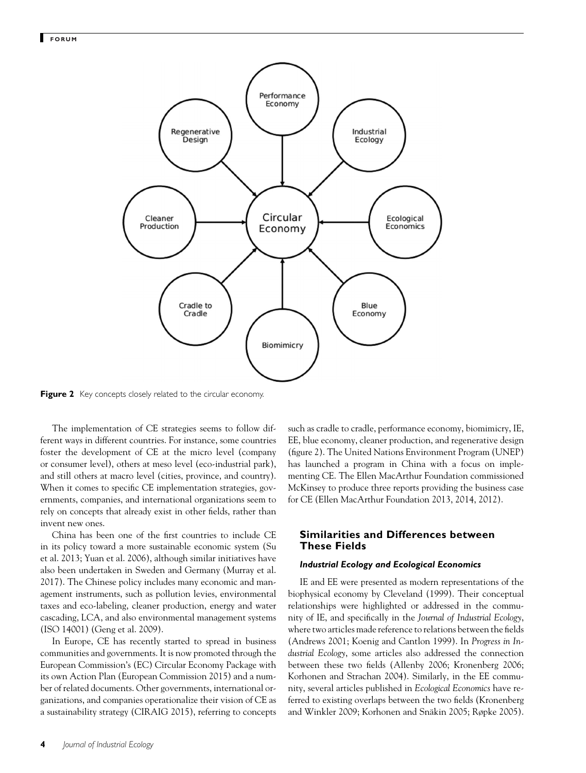

**Figure 2** Key concepts closely related to the circular economy.

The implementation of CE strategies seems to follow different ways in different countries. For instance, some countries foster the development of CE at the micro level (company or consumer level), others at meso level (eco-industrial park), and still others at macro level (cities, province, and country). When it comes to specific CE implementation strategies, governments, companies, and international organizations seem to rely on concepts that already exist in other fields, rather than invent new ones.

China has been one of the first countries to include CE in its policy toward a more sustainable economic system (Su et al. 2013; Yuan et al. 2006), although similar initiatives have also been undertaken in Sweden and Germany (Murray et al. 2017). The Chinese policy includes many economic and management instruments, such as pollution levies, environmental taxes and eco-labeling, cleaner production, energy and water cascading, LCA, and also environmental management systems (ISO 14001) (Geng et al. 2009).

In Europe, CE has recently started to spread in business communities and governments. It is now promoted through the European Commission's (EC) Circular Economy Package with its own Action Plan (European Commission 2015) and a number of related documents. Other governments, international organizations, and companies operationalize their vision of CE as a sustainability strategy (CIRAIG 2015), referring to concepts such as cradle to cradle, performance economy, biomimicry, IE, EE, blue economy, cleaner production, and regenerative design (figure 2). The United Nations Environment Program (UNEP) has launched a program in China with a focus on implementing CE. The Ellen MacArthur Foundation commissioned McKinsey to produce three reports providing the business case for CE (Ellen MacArthur Foundation 2013, 2014, 2012).

# **Similarities and Differences between These Fields**

#### *Industrial Ecology and Ecological Economics*

IE and EE were presented as modern representations of the biophysical economy by Cleveland (1999). Their conceptual relationships were highlighted or addressed in the community of IE, and specifically in the *Journal of Industrial Ecology*, where two articles made reference to relations between the fields (Andrews 2001; Koenig and Cantlon 1999). In *Progress in Industrial Ecology*, some articles also addressed the connection between these two fields (Allenby 2006; Kronenberg 2006; Korhonen and Strachan 2004). Similarly, in the EE community, several articles published in *Ecological Economics* have referred to existing overlaps between the two fields (Kronenberg and Winkler 2009; Korhonen and Snäkin 2005; Røpke 2005).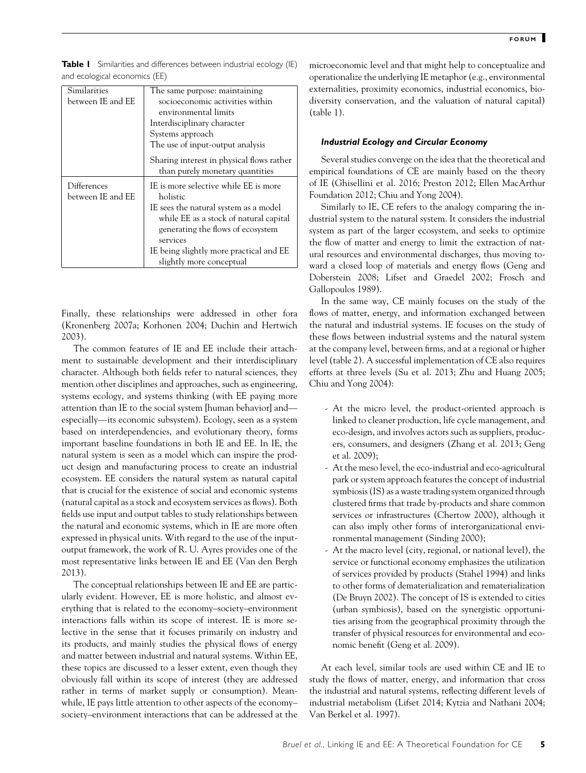**Table I** Similarities and differences between industrial ecology (IE) and ecological economics (EE)

| Similarities      | The same purpose: maintaining                                                |
|-------------------|------------------------------------------------------------------------------|
| between IE and EE | socioeconomic activities within                                              |
|                   | environmental limits                                                         |
|                   | Interdisciplinary character                                                  |
|                   | Systems approach                                                             |
|                   | The use of input-output analysis                                             |
|                   | Sharing interest in physical flows rather<br>than purely monetary quantities |
| Differences       | IE is more selective while EE is more                                        |
| between IE and EE | holistic                                                                     |
|                   | IE sees the natural system as a model                                        |
|                   | while EE as a stock of natural capital                                       |
|                   | generating the flows of ecosystem                                            |
|                   | services                                                                     |
|                   | IE being slightly more practical and EE                                      |
|                   | slightly more conceptual                                                     |

Finally, these relationships were addressed in other fora (Kronenberg 2007a; Korhonen 2004; Duchin and Hertwich 2003).

The common features of IE and EE include their attachment to sustainable development and their interdisciplinary character. Although both fields refer to natural sciences, they mention other disciplines and approaches, such as engineering, systems ecology, and systems thinking (with EE paying more attention than IE to the social system [human behavior] and especially—its economic subsystem). Ecology, seen as a system based on interdependencies, and evolutionary theory, forms important baseline foundations in both IE and EE. In IE, the natural system is seen as a model which can inspire the product design and manufacturing process to create an industrial ecosystem. EE considers the natural system as natural capital that is crucial for the existence of social and economic systems (natural capital as a stock and ecosystem services as flows). Both fields use input and output tables to study relationships between the natural and economic systems, which in IE are more often expressed in physical units. With regard to the use of the inputoutput framework, the work of R. U. Ayres provides one of the most representative links between IE and EE (Van den Bergh 2013).

The conceptual relationships between IE and EE are particularly evident. However, EE is more holistic, and almost everything that is related to the economy–society–environment interactions falls within its scope of interest. IE is more selective in the sense that it focuses primarily on industry and its products, and mainly studies the physical flows of energy and matter between industrial and natural systems. Within EE, these topics are discussed to a lesser extent, even though they obviously fall within its scope of interest (they are addressed rather in terms of market supply or consumption). Meanwhile, IE pays little attention to other aspects of the economy– society–environment interactions that can be addressed at the

microeconomic level and that might help to conceptualize and operationalize the underlying IE metaphor (e.g., environmental externalities, proximity economics, industrial economics, biodiversity conservation, and the valuation of natural capital) (table 1).

#### *Industrial Ecology and Circular Economy*

Several studies converge on the idea that the theoretical and empirical foundations of CE are mainly based on the theory of IE (Ghisellini et al. 2016; Preston 2012; Ellen MacArthur Foundation 2012; Chiu and Yong 2004).

Similarly to IE, CE refers to the analogy comparing the industrial system to the natural system. It considers the industrial system as part of the larger ecosystem, and seeks to optimize the flow of matter and energy to limit the extraction of natural resources and environmental discharges, thus moving toward a closed loop of materials and energy flows (Geng and Doberstein 2008; Lifset and Graedel 2002; Frosch and Gallopoulos 1989).

In the same way, CE mainly focuses on the study of the flows of matter, energy, and information exchanged between the natural and industrial systems. IE focuses on the study of these flows between industrial systems and the natural system at the company level, between firms, and at a regional or higher level (table 2). A successful implementation of CE also requires efforts at three levels (Su et al. 2013; Zhu and Huang 2005; Chiu and Yong 2004):

- At the micro level, the product-oriented approach is linked to cleaner production, life cycle management, and eco-design, and involves actors such as suppliers, producers, consumers, and designers (Zhang et al. 2013; Geng et al. 2009);
- At the meso level, the eco-industrial and eco-agricultural park or system approach features the concept of industrial symbiosis (IS) as a waste trading system organized through clustered firms that trade by-products and share common services or infrastructures (Chertow 2000), although it can also imply other forms of interorganizational environmental management (Sinding 2000);
- At the macro level (city, regional, or national level), the service or functional economy emphasizes the utilization of services provided by products (Stahel 1994) and links to other forms of dematerialization and rematerialization (De Bruyn 2002). The concept of IS is extended to cities (urban symbiosis), based on the synergistic opportunities arising from the geographical proximity through the transfer of physical resources for environmental and economic benefit (Geng et al. 2009).

At each level, similar tools are used within CE and IE to study the flows of matter, energy, and information that cross the industrial and natural systems, reflecting different levels of industrial metabolism (Lifset 2014; Kytzia and Nathani 2004; Van Berkel et al. 1997).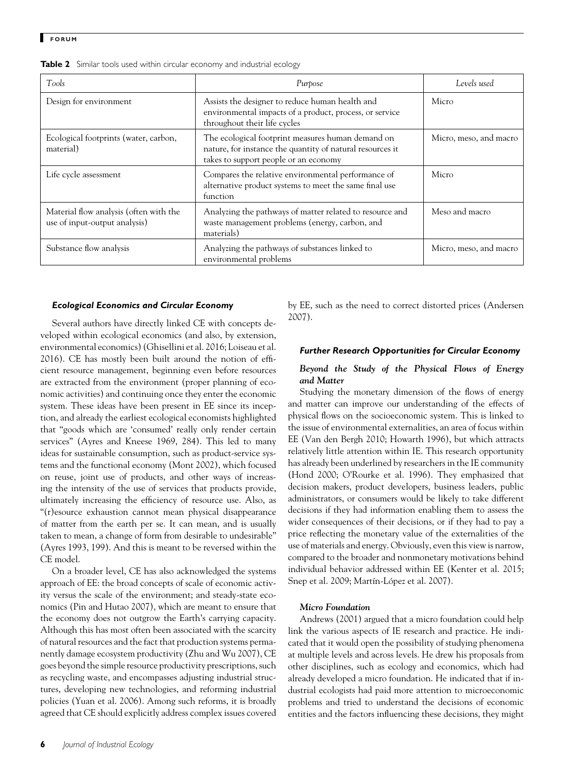| Tools                                                                   | Purpose                                                                                                                                                 | Levels used            |
|-------------------------------------------------------------------------|---------------------------------------------------------------------------------------------------------------------------------------------------------|------------------------|
| Design for environment                                                  | Assists the designer to reduce human health and<br>environmental impacts of a product, process, or service<br>throughout their life cycles              | Micro                  |
| Ecological footprints (water, carbon,<br>material)                      | The ecological footprint measures human demand on<br>nature, for instance the quantity of natural resources it<br>takes to support people or an economy | Micro, meso, and macro |
| Life cycle assessment                                                   | Compares the relative environmental performance of<br>alternative product systems to meet the same final use<br>function                                | Micro                  |
| Material flow analysis (often with the<br>use of input-output analysis) | Analyzing the pathways of matter related to resource and<br>waste management problems (energy, carbon, and<br>materials)                                | Meso and macro         |
| Substance flow analysis                                                 | Analyzing the pathways of substances linked to<br>environmental problems                                                                                | Micro, meso, and macro |

**Table 2** Similar tools used within circular economy and industrial ecology

#### *Ecological Economics and Circular Economy*

Several authors have directly linked CE with concepts developed within ecological economics (and also, by extension, environmental economics) (Ghisellini et al. 2016; Loiseau et al. 2016). CE has mostly been built around the notion of efficient resource management, beginning even before resources are extracted from the environment (proper planning of economic activities) and continuing once they enter the economic system. These ideas have been present in EE since its inception, and already the earliest ecological economists highlighted that "goods which are 'consumed' really only render certain services" (Ayres and Kneese 1969, 284). This led to many ideas for sustainable consumption, such as product-service systems and the functional economy (Mont 2002), which focused on reuse, joint use of products, and other ways of increasing the intensity of the use of services that products provide, ultimately increasing the efficiency of resource use. Also, as "(r)esource exhaustion cannot mean physical disappearance of matter from the earth per se. It can mean, and is usually taken to mean, a change of form from desirable to undesirable" (Ayres 1993, 199). And this is meant to be reversed within the CE model.

On a broader level, CE has also acknowledged the systems approach of EE: the broad concepts of scale of economic activity versus the scale of the environment; and steady-state economics (Pin and Hutao 2007), which are meant to ensure that the economy does not outgrow the Earth's carrying capacity. Although this has most often been associated with the scarcity of natural resources and the fact that production systems permanently damage ecosystem productivity (Zhu and Wu 2007), CE goes beyond the simple resource productivity prescriptions, such as recycling waste, and encompasses adjusting industrial structures, developing new technologies, and reforming industrial policies (Yuan et al. 2006). Among such reforms, it is broadly agreed that CE should explicitly address complex issues covered by EE, such as the need to correct distorted prices (Andersen 2007).

#### *Further Research Opportunities for Circular Economy*

#### *Beyond the Study of the Physical Flows of Energy and Matter*

Studying the monetary dimension of the flows of energy and matter can improve our understanding of the effects of physical flows on the socioeconomic system. This is linked to the issue of environmental externalities, an area of focus within EE (Van den Bergh 2010; Howarth 1996), but which attracts relatively little attention within IE. This research opportunity has already been underlined by researchers in the IE community (Hond 2000; O'Rourke et al. 1996). They emphasized that decision makers, product developers, business leaders, public administrators, or consumers would be likely to take different decisions if they had information enabling them to assess the wider consequences of their decisions, or if they had to pay a price reflecting the monetary value of the externalities of the use of materials and energy. Obviously, even this view is narrow, compared to the broader and nonmonetary motivations behind individual behavior addressed within EE (Kenter et al. 2015; Snep et al. 2009; Martín-López et al. 2007).

#### *Micro Foundation*

Andrews (2001) argued that a micro foundation could help link the various aspects of IE research and practice. He indicated that it would open the possibility of studying phenomena at multiple levels and across levels. He drew his proposals from other disciplines, such as ecology and economics, which had already developed a micro foundation. He indicated that if industrial ecologists had paid more attention to microeconomic problems and tried to understand the decisions of economic entities and the factors influencing these decisions, they might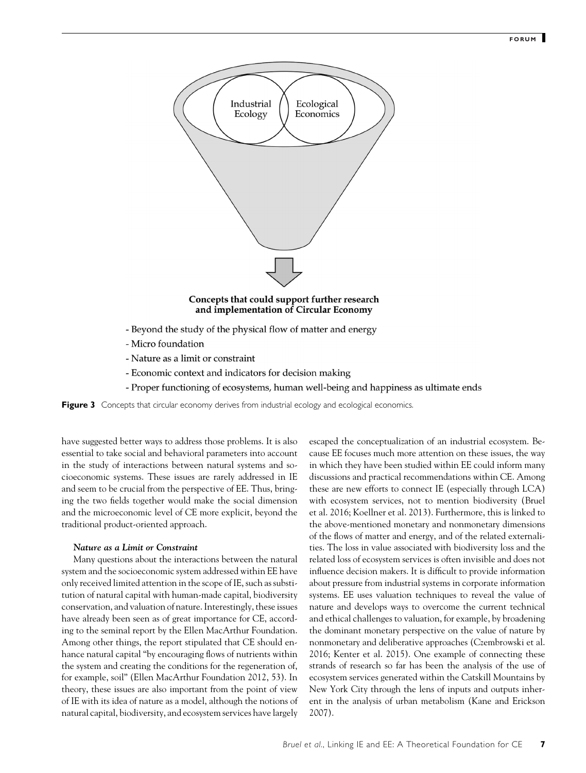

- Beyond the study of the physical flow of matter and energy
- Micro foundation
- Nature as a limit or constraint
- Economic context and indicators for decision making
- Proper functioning of ecosystems, human well-being and happiness as ultimate ends

**Figure 3** Concepts that circular economy derives from industrial ecology and ecological economics.

have suggested better ways to address those problems. It is also essential to take social and behavioral parameters into account in the study of interactions between natural systems and socioeconomic systems. These issues are rarely addressed in IE and seem to be crucial from the perspective of EE. Thus, bringing the two fields together would make the social dimension and the microeconomic level of CE more explicit, beyond the traditional product-oriented approach.

#### *Nature as a Limit or Constraint*

Many questions about the interactions between the natural system and the socioeconomic system addressed within EE have only received limited attention in the scope of IE, such as substitution of natural capital with human-made capital, biodiversity conservation, and valuation of nature. Interestingly, these issues have already been seen as of great importance for CE, according to the seminal report by the Ellen MacArthur Foundation. Among other things, the report stipulated that CE should enhance natural capital "by encouraging flows of nutrients within the system and creating the conditions for the regeneration of, for example, soil" (Ellen MacArthur Foundation 2012, 53). In theory, these issues are also important from the point of view of IE with its idea of nature as a model, although the notions of natural capital, biodiversity, and ecosystem services have largely escaped the conceptualization of an industrial ecosystem. Because EE focuses much more attention on these issues, the way in which they have been studied within EE could inform many discussions and practical recommendations within CE. Among these are new efforts to connect IE (especially through LCA) with ecosystem services, not to mention biodiversity (Bruel et al. 2016; Koellner et al. 2013). Furthermore, this is linked to the above-mentioned monetary and nonmonetary dimensions of the flows of matter and energy, and of the related externalities. The loss in value associated with biodiversity loss and the related loss of ecosystem services is often invisible and does not influence decision makers. It is difficult to provide information about pressure from industrial systems in corporate information systems. EE uses valuation techniques to reveal the value of nature and develops ways to overcome the current technical and ethical challenges to valuation, for example, by broadening the dominant monetary perspective on the value of nature by nonmonetary and deliberative approaches (Czembrowski et al. 2016; Kenter et al. 2015). One example of connecting these strands of research so far has been the analysis of the use of ecosystem services generated within the Catskill Mountains by New York City through the lens of inputs and outputs inherent in the analysis of urban metabolism (Kane and Erickson 2007).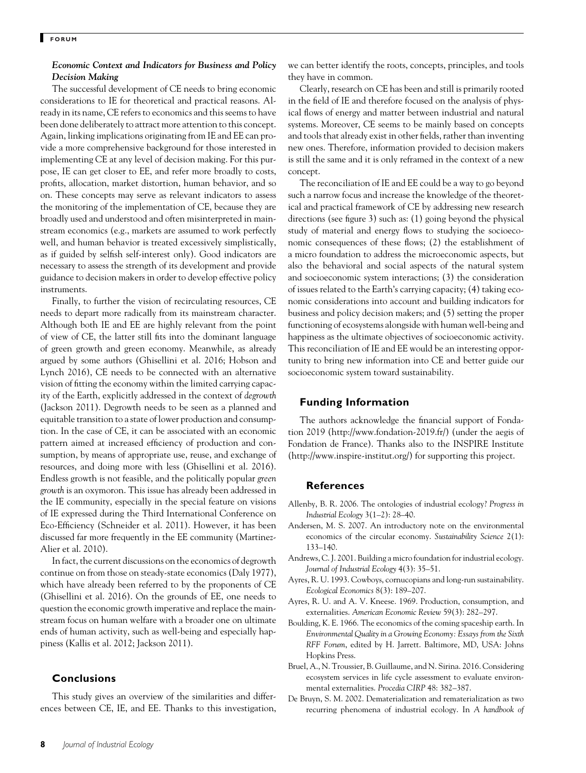#### *Economic Context and Indicators for Business and Policy Decision Making*

The successful development of CE needs to bring economic considerations to IE for theoretical and practical reasons. Already in its name, CE refers to economics and this seems to have been done deliberately to attract more attention to this concept. Again, linking implications originating from IE and EE can provide a more comprehensive background for those interested in implementing CE at any level of decision making. For this purpose, IE can get closer to EE, and refer more broadly to costs, profits, allocation, market distortion, human behavior, and so on. These concepts may serve as relevant indicators to assess the monitoring of the implementation of CE, because they are broadly used and understood and often misinterpreted in mainstream economics (e.g., markets are assumed to work perfectly well, and human behavior is treated excessively simplistically, as if guided by selfish self-interest only). Good indicators are necessary to assess the strength of its development and provide guidance to decision makers in order to develop effective policy instruments.

Finally, to further the vision of recirculating resources, CE needs to depart more radically from its mainstream character. Although both IE and EE are highly relevant from the point of view of CE, the latter still fits into the dominant language of green growth and green economy. Meanwhile, as already argued by some authors (Ghisellini et al. 2016; Hobson and Lynch 2016), CE needs to be connected with an alternative vision of fitting the economy within the limited carrying capacity of the Earth, explicitly addressed in the context of *degrowth* (Jackson 2011). Degrowth needs to be seen as a planned and equitable transition to a state of lower production and consumption. In the case of CE, it can be associated with an economic pattern aimed at increased efficiency of production and consumption, by means of appropriate use, reuse, and exchange of resources, and doing more with less (Ghisellini et al. 2016). Endless growth is not feasible, and the politically popular *green growth* is an oxymoron. This issue has already been addressed in the IE community, especially in the special feature on visions of IE expressed during the Third International Conference on Eco-Efficiency (Schneider et al. 2011). However, it has been discussed far more frequently in the EE community (Martinez-Alier et al. 2010).

In fact, the current discussions on the economics of degrowth continue on from those on steady-state economics (Daly 1977), which have already been referred to by the proponents of CE (Ghisellini et al. 2016). On the grounds of EE, one needs to question the economic growth imperative and replace the mainstream focus on human welfare with a broader one on ultimate ends of human activity, such as well-being and especially happiness (Kallis et al. 2012; Jackson 2011).

## **Conclusions**

This study gives an overview of the similarities and differences between CE, IE, and EE. Thanks to this investigation, we can better identify the roots, concepts, principles, and tools they have in common.

Clearly, research on CE has been and still is primarily rooted in the field of IE and therefore focused on the analysis of physical flows of energy and matter between industrial and natural systems. Moreover, CE seems to be mainly based on concepts and tools that already exist in other fields, rather than inventing new ones. Therefore, information provided to decision makers is still the same and it is only reframed in the context of a new concept.

The reconciliation of IE and EE could be a way to go beyond such a narrow focus and increase the knowledge of the theoretical and practical framework of CE by addressing new research directions (see figure 3) such as: (1) going beyond the physical study of material and energy flows to studying the socioeconomic consequences of these flows; (2) the establishment of a micro foundation to address the microeconomic aspects, but also the behavioral and social aspects of the natural system and socioeconomic system interactions; (3) the consideration of issues related to the Earth's carrying capacity; (4) taking economic considerations into account and building indicators for business and policy decision makers; and (5) setting the proper functioning of ecosystems alongside with human well-being and happiness as the ultimate objectives of socioeconomic activity. This reconciliation of IE and EE would be an interesting opportunity to bring new information into CE and better guide our socioeconomic system toward sustainability.

#### **Funding Information**

The authors acknowledge the financial support of Fondation 2019 (http://www.fondation-2019.fr/) (under the aegis of Fondation de France). Thanks also to the INSPIRE Institute (http://www.inspire-institut.org/) for supporting this project.

#### **References**

- Allenby, B. R. 2006. The ontologies of industrial ecology? *Progress in Industrial Ecology* 3(1–2): 28–40.
- Andersen, M. S. 2007. An introductory note on the environmental economics of the circular economy. *Sustainability Science* 2(1): 133–140.
- Andrews, C. J. 2001. Building a micro foundation for industrial ecology. *Journal of Industrial Ecology* 4(3): 35–51.
- Ayres, R. U. 1993. Cowboys, cornucopians and long-run sustainability. *Ecological Economics* 8(3): 189–207.
- Ayres, R. U. and A. V. Kneese. 1969. Production, consumption, and externalities. *American Economic Review* 59(3): 282–297.
- Boulding, K. E. 1966. The economics of the coming spaceship earth. In *Environmental Quality in a Growing Economy: Essays from the Sixth RFF Forum*, edited by H. Jarrett. Baltimore, MD, USA: Johns Hopkins Press.
- Bruel, A., N. Troussier, B. Guillaume, and N. Sirina. 2016. Considering ecosystem services in life cycle assessment to evaluate environmental externalities. *Procedia CIRP* 48: 382–387.
- De Bruyn, S. M. 2002. Dematerialization and rematerialization as two recurring phenomena of industrial ecology. In *A handbook of*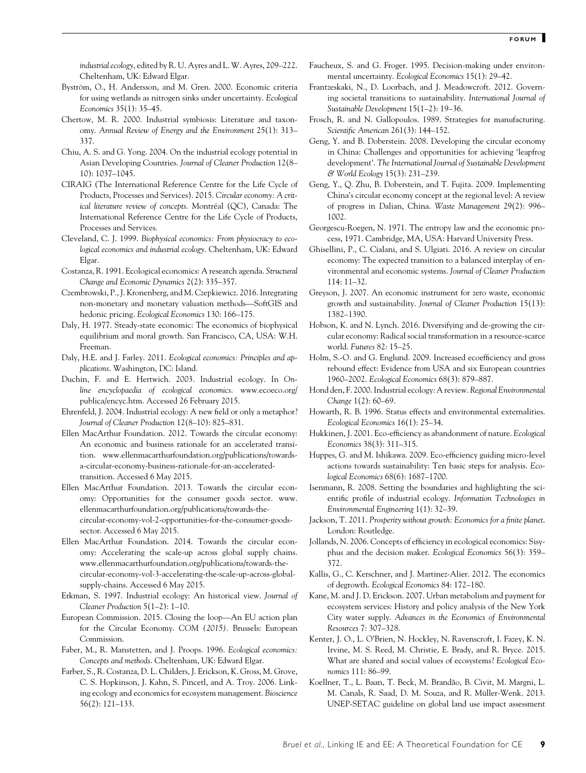- Byström, O., H. Andersson, and M. Gren. 2000. Economic criteria for using wetlands as nitrogen sinks under uncertainty. *Ecological Economics* 35(1): 35–45.
- Chertow, M. R. 2000. Industrial symbiosis: Literature and taxonomy. *Annual Review of Energy and the Environment* 25(1): 313– 337.
- Chiu, A. S. and G. Yong. 2004. On the industrial ecology potential in Asian Developing Countries. *Journal of Cleaner Production* 12(8– 10): 1037–1045.
- CIRAIG (The International Reference Centre for the Life Cycle of Products, Processes and Services). 2015. *Circular economy: A critical literature review of concepts.* Montréal (QC), Canada: The International Reference Centre for the Life Cycle of Products, Processes and Services.
- Cleveland, C. J. 1999. *Biophysical economics: From physiocracy to ecological economics and industrial ecology*. Cheltenham, UK: Edward Elgar.
- Costanza, R. 1991. Ecological economics: A research agenda. *Structural Change and Economic Dynamics* 2(2): 335–357.
- Czembrowski, P., J. Kronenberg, and M. Czepkiewicz. 2016. Integrating non-monetary and monetary valuation methods—SoftGIS and hedonic pricing. *Ecological Economics* 130: 166–175.
- Daly, H. 1977. Steady-state economic: The economics of biophysical equilibrium and moral growth. San Francisco, CA, USA: W.H. Freeman.
- Daly, H.E. and J. Farley. 2011. *Ecological economics: Principles and applications*. Washington, DC: Island.
- Duchin, F. and E. Hertwich. 2003. Industrial ecology. In *Online encyclopaedia of ecological economics*. www.ecoeco.org/ publica/encyc.htm. Accessed 26 February 2015.
- Ehrenfeld, J. 2004. Industrial ecology: A new field or only a metaphor? *Journal of Cleaner Production* 12(8–10): 825–831.
- Ellen MacArthur Foundation. 2012. Towards the circular economy: An economic and business rationale for an accelerated transition. www.ellenmacarthurfoundation.org/publications/towardsa-circular-economy-business-rationale-for-an-acceleratedtransition. Accessed 6 May 2015.
- Ellen MacArthur Foundation. 2013. Towards the circular economy: Opportunities for the consumer goods sector. www. ellenmacarthurfoundation.org/publications/towards-thecircular-economy-vol-2-opportunities-for-the-consumer-goodssector. Accessed 6 May 2015.
- Ellen MacArthur Foundation. 2014. Towards the circular economy: Accelerating the scale-up across global supply chains. www.ellenmacarthurfoundation.org/publications/towards-thecircular-economy-vol-3-accelerating-the-scale-up-across-globalsupply-chains. Accessed 6 May 2015.
- Erkman, S. 1997. Industrial ecology: An historical view. *Journal of Cleaner Production* 5(1–2): 1–10.
- European Commission. 2015. Closing the loop—An EU action plan for the Circular Economy. *COM (2015)*. Brussels: European Commission.
- Faber, M., R. Manstetten, and J. Proops. 1996. *Ecological economics: Concepts and methods*. Cheltenham, UK: Edward Elgar.
- Farber, S., R. Costanza, D. L. Childers, J. Erickson, K. Gross, M. Grove, C. S. Hopkinson, J. Kahn, S. Pincetl, and A. Troy. 2006. Linking ecology and economics for ecosystem management. *Bioscience* 56(2): 121–133.
- Faucheux, S. and G. Froger. 1995. Decision-making under environmental uncertainty. *Ecological Economics* 15(1): 29–42.
- Frantzeskaki, N., D. Loorbach, and J. Meadowcroft. 2012. Governing societal transitions to sustainability. *International Journal of Sustainable Development* 15(1–2): 19–36.
- Frosch, R. and N. Gallopoulos. 1989. Strategies for manufacturing. *Scientific American* 261(3): 144–152.
- Geng, Y. and B. Doberstein. 2008. Developing the circular economy in China: Challenges and opportunities for achieving 'leapfrog development'. *The International Journal of Sustainable Development & World Ecology* 15(3): 231–239.
- Geng, Y., Q. Zhu, B. Doberstein, and T. Fujita. 2009. Implementing China's circular economy concept at the regional level: A review of progress in Dalian, China. *Waste Management* 29(2): 996– 1002.
- Georgescu-Roegen, N. 1971. The entropy law and the economic process, 1971. Cambridge, MA, USA: Harvard University Press.
- Ghisellini, P., C. Cialani, and S. Ulgiati. 2016. A review on circular economy: The expected transition to a balanced interplay of environmental and economic systems. *Journal of Cleaner Production* 114: 11–32.
- Greyson, J. 2007. An economic instrument for zero waste, economic growth and sustainability. *Journal of Cleaner Production* 15(13): 1382–1390.
- Hobson, K. and N. Lynch. 2016. Diversifying and de-growing the circular economy: Radical social transformation in a resource-scarce world. *Futures* 82: 15–25.
- Holm, S.-O. and G. Englund. 2009. Increased ecoefficiency and gross rebound effect: Evidence from USA and six European countries 1960–2002. *Ecological Economics* 68(3): 879–887.
- Hond den, F. 2000. Industrial ecology: A review. *Regional Environmental Change* 1(2): 60–69.
- Howarth, R. B. 1996. Status effects and environmental externalities. *Ecological Economics* 16(1): 25–34.
- Hukkinen, J. 2001. Eco-efficiency as abandonment of nature. *Ecological Economics* 38(3): 311–315.
- Huppes, G. and M. Ishikawa. 2009. Eco-efficiency guiding micro-level actions towards sustainability: Ten basic steps for analysis. *Ecological Economics* 68(6): 1687–1700.
- Isenmann, R. 2008. Setting the boundaries and highlighting the scientific profile of industrial ecology. *Information Technologies in Environmental Engineering* 1(1): 32–39.
- Jackson, T. 2011. *Prosperity without growth: Economics for a finite planet*. London: Routledge.
- Jollands, N. 2006. Concepts of efficiency in ecological economics: Sisyphus and the decision maker. *Ecological Economics* 56(3): 359– 372.
- Kallis, G., C. Kerschner, and J. Martinez-Alier. 2012. The economics of degrowth. *Ecological Economics* 84: 172–180.
- Kane, M. and J. D. Erickson. 2007. Urban metabolism and payment for ecosystem services: History and policy analysis of the New York City water supply. *Advances in the Economics of Environmental Resources* 7: 307–328.
- Kenter, J. O., L. O'Brien, N. Hockley, N. Ravenscroft, I. Fazey, K. N. Irvine, M. S. Reed, M. Christie, E. Brady, and R. Bryce. 2015. What are shared and social values of ecosystems? *Ecological Economics* 111: 86–99.
- Koellner, T., L. Baan, T. Beck, M. Brandão, B. Civit, M. Margni, L. M. Canals, R. Saad, D. M. Souza, and R. Müller-Wenk. 2013. UNEP-SETAC guideline on global land use impact assessment